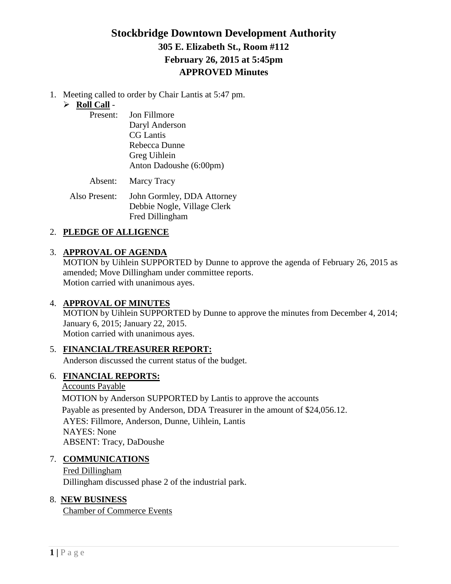# **Stockbridge Downtown Development Authority 305 E. Elizabeth St., Room #112 February 26, 2015 at 5:45pm APPROVED Minutes**

1. Meeting called to order by Chair Lantis at 5:47 pm.

### **Roll Call** -

| Present: | Jon Fillmore               |
|----------|----------------------------|
|          | Daryl Anderson             |
|          | <b>CG</b> Lantis           |
|          | Rebecca Dunne              |
|          | Greg Uihlein               |
|          | Anton Dadoushe (6:00pm)    |
|          | <b>Absent:</b> Marcy Tracy |

Also Present: John Gormley, DDA Attorney Debbie Nogle, Village Clerk Fred Dillingham

## 2. **PLEDGE OF ALLIGENCE**

### 3. **APPROVAL OF AGENDA**

MOTION by Uihlein SUPPORTED by Dunne to approve the agenda of February 26, 2015 as amended; Move Dillingham under committee reports. Motion carried with unanimous ayes.

## 4. **APPROVAL OF MINUTES**

MOTION by Uihlein SUPPORTED by Dunne to approve the minutes from December 4, 2014; January 6, 2015; January 22, 2015. Motion carried with unanimous ayes.

## 5. **FINANCIAL/TREASURER REPORT:**

Anderson discussed the current status of the budget.

## 6. **FINANCIAL REPORTS:**

Accounts Payable MOTION by Anderson SUPPORTED by Lantis to approve the accounts Payable as presented by Anderson, DDA Treasurer in the amount of \$24,056.12. AYES: Fillmore, Anderson, Dunne, Uihlein, Lantis NAYES: None ABSENT: Tracy, DaDoushe

## 7. **COMMUNICATIONS**

Fred Dillingham Dillingham discussed phase 2 of the industrial park.

## 8. **NEW BUSINESS**

Chamber of Commerce Events